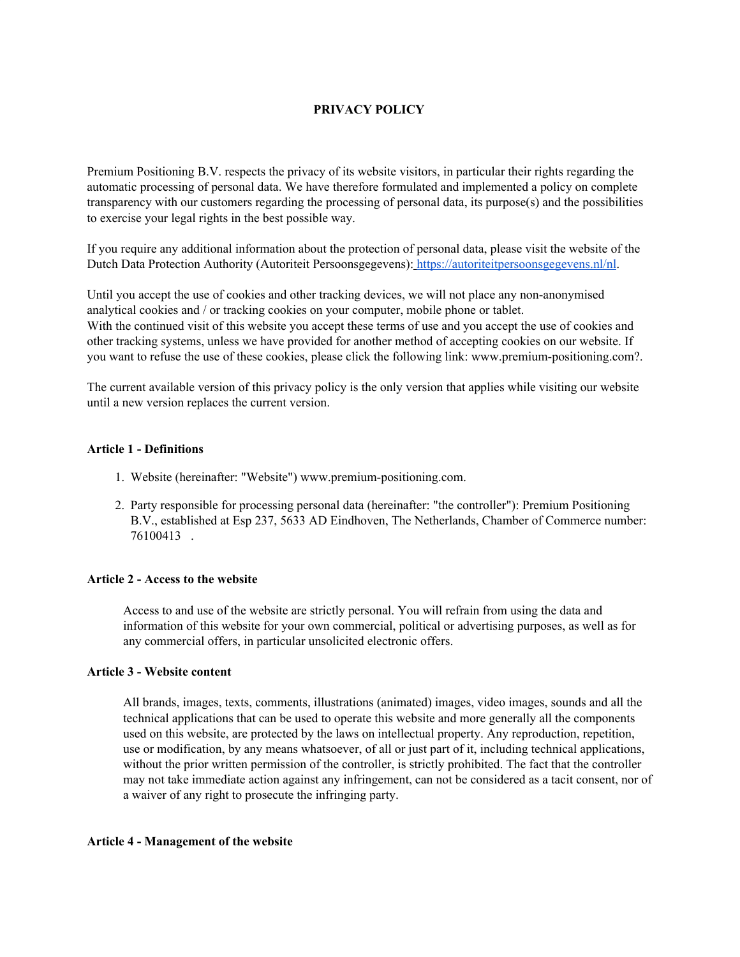# **PRIVACY POLICY**

Premium Positioning B.V. respects the privacy of its website visitors, in particular their rights regarding the automatic processing of personal data. We have therefore formulated and implemented a policy on complete transparency with our customers regarding the processing of personal data, its purpose(s) and the possibilities to exercise your legal rights in the best possible way.

If you require any additional information about the protection of personal data, please visit the website of the Dutch Data Protection Authority (Autoriteit Persoonsgegevens)[:](https://autoriteitpersoonsgegevens.nl/nl) <https://autoriteitpersoonsgegevens.nl/nl>.

Until you accept the use of cookies and other tracking devices, we will not place any non-anonymised analytical cookies and / or tracking cookies on your computer, mobile phone or tablet. With the continued visit of this website you accept these terms of use and you accept the use of cookies and other tracking systems, unless we have provided for another method of accepting cookies on our website. If you want to refuse the use of these cookies, please click the following link: www.premium-positioning.com?.

The current available version of this privacy policy is the only version that applies while visiting our website until a new version replaces the current version.

### **Article 1 - Definitions**

- 1. Website (hereinafter: "Website") www.premium-positioning.com.
- 2. Party responsible for processing personal data (hereinafter: "the controller"): Premium Positioning B.V., established at Esp 237, 5633 AD Eindhoven, The Netherlands, Chamber of Commerce number: 76100413 .

### **Article 2 - Access to the website**

Access to and use of the website are strictly personal. You will refrain from using the data and information of this website for your own commercial, political or advertising purposes, as well as for any commercial offers, in particular unsolicited electronic offers.

### **Article 3 - Website content**

All brands, images, texts, comments, illustrations (animated) images, video images, sounds and all the technical applications that can be used to operate this website and more generally all the components used on this website, are protected by the laws on intellectual property. Any reproduction, repetition, use or modification, by any means whatsoever, of all or just part of it, including technical applications, without the prior written permission of the controller, is strictly prohibited. The fact that the controller may not take immediate action against any infringement, can not be considered as a tacit consent, nor of a waiver of any right to prosecute the infringing party.

### **Article 4 - Management of the website**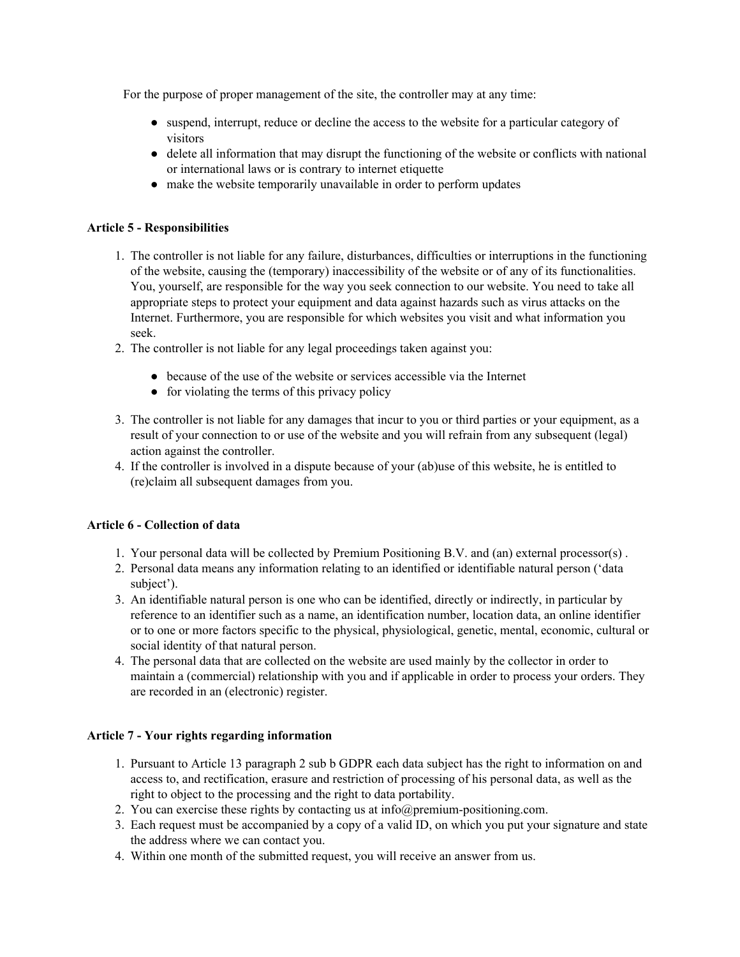For the purpose of proper management of the site, the controller may at any time:

- suspend, interrupt, reduce or decline the access to the website for a particular category of visitors
- delete all information that may disrupt the functioning of the website or conflicts with national or international laws or is contrary to internet etiquette
- make the website temporarily unavailable in order to perform updates

### **Article 5 - Responsibilities**

- 1. The controller is not liable for any failure, disturbances, difficulties or interruptions in the functioning of the website, causing the (temporary) inaccessibility of the website or of any of its functionalities. You, yourself, are responsible for the way you seek connection to our website. You need to take all appropriate steps to protect your equipment and data against hazards such as virus attacks on the Internet. Furthermore, you are responsible for which websites you visit and what information you seek.
- 2. The controller is not liable for any legal proceedings taken against you:
	- because of the use of the website or services accessible via the Internet
	- for violating the terms of this privacy policy
- 3. The controller is not liable for any damages that incur to you or third parties or your equipment, as a result of your connection to or use of the website and you will refrain from any subsequent (legal) action against the controller.
- 4. If the controller is involved in a dispute because of your (ab)use of this website, he is entitled to (re)claim all subsequent damages from you.

# **Article 6 - Collection of data**

- 1. Your personal data will be collected by Premium Positioning B.V. and (an) external processor(s) .
- 2. Personal data means any information relating to an identified or identifiable natural person ('data subject').
- 3. An identifiable natural person is one who can be identified, directly or indirectly, in particular by reference to an identifier such as a name, an identification number, location data, an online identifier or to one or more factors specific to the physical, physiological, genetic, mental, economic, cultural or social identity of that natural person.
- 4. The personal data that are collected on the website are used mainly by the collector in order to maintain a (commercial) relationship with you and if applicable in order to process your orders. They are recorded in an (electronic) register.

# **Article 7 - Your rights regarding information**

- 1. Pursuant to Article 13 paragraph 2 sub b GDPR each data subject has the right to information on and access to, and rectification, erasure and restriction of processing of his personal data, as well as the right to object to the processing and the right to data portability.
- 2. You can exercise these rights by contacting us at info@premium-positioning.com.
- 3. Each request must be accompanied by a copy of a valid ID, on which you put your signature and state the address where we can contact you.
- 4. Within one month of the submitted request, you will receive an answer from us.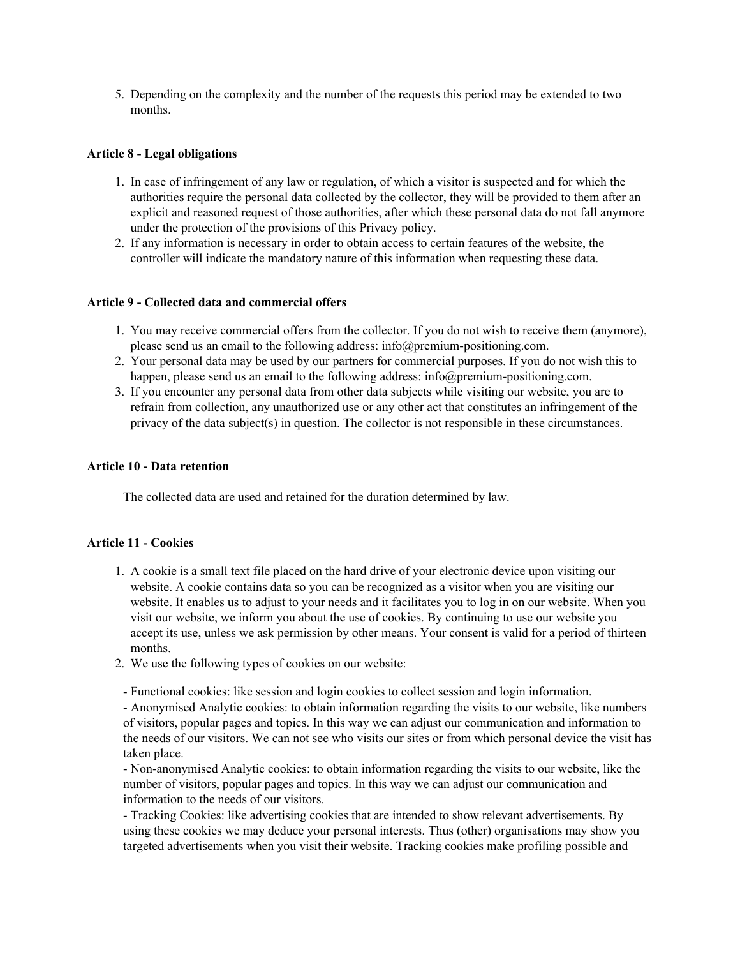5. Depending on the complexity and the number of the requests this period may be extended to two months.

### **Article 8 - Legal obligations**

- 1. In case of infringement of any law or regulation, of which a visitor is suspected and for which the authorities require the personal data collected by the collector, they will be provided to them after an explicit and reasoned request of those authorities, after which these personal data do not fall anymore under the protection of the provisions of this Privacy policy.
- 2. If any information is necessary in order to obtain access to certain features of the website, the controller will indicate the mandatory nature of this information when requesting these data.

### **Article 9 - Collected data and commercial offers**

- 1. You may receive commercial offers from the collector. If you do not wish to receive them (anymore), please send us an email to the following address: info@premium-positioning.com.
- 2. Your personal data may be used by our partners for commercial purposes. If you do not wish this to happen, please send us an email to the following address: info@premium-positioning.com.
- 3. If you encounter any personal data from other data subjects while visiting our website, you are to refrain from collection, any unauthorized use or any other act that constitutes an infringement of the privacy of the data subject(s) in question. The collector is not responsible in these circumstances.

### **Article 10 - Data retention**

The collected data are used and retained for the duration determined by law.

### **Article 11 - Cookies**

- 1. A cookie is a small text file placed on the hard drive of your electronic device upon visiting our website. A cookie contains data so you can be recognized as a visitor when you are visiting our website. It enables us to adjust to your needs and it facilitates you to log in on our website. When you visit our website, we inform you about the use of cookies. By continuing to use our website you accept its use, unless we ask permission by other means. Your consent is valid for a period of thirteen months.
- 2. We use the following types of cookies on our website:

- Functional cookies: like session and login cookies to collect session and login information.

- Anonymised Analytic cookies: to obtain information regarding the visits to our website, like numbers of visitors, popular pages and topics. In this way we can adjust our communication and information to the needs of our visitors. We can not see who visits our sites or from which personal device the visit has taken place.

- Non-anonymised Analytic cookies: to obtain information regarding the visits to our website, like the number of visitors, popular pages and topics. In this way we can adjust our communication and information to the needs of our visitors.

- Tracking Cookies: like advertising cookies that are intended to show relevant advertisements. By using these cookies we may deduce your personal interests. Thus (other) organisations may show you targeted advertisements when you visit their website. Tracking cookies make profiling possible and